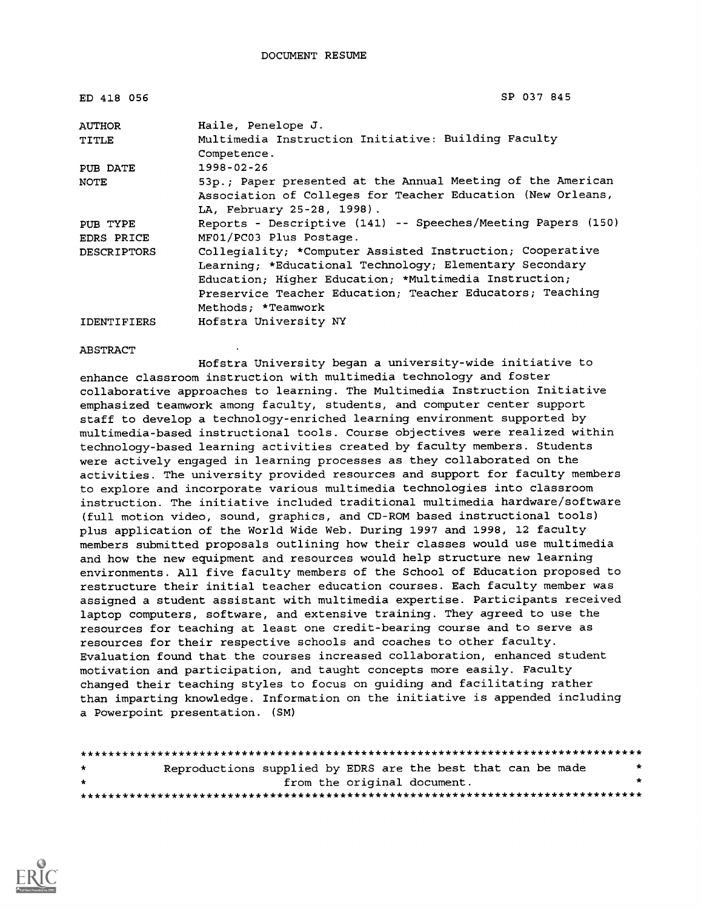| ED 418 056         | SP 037 845                                                                                                                                                                                                                                                       |
|--------------------|------------------------------------------------------------------------------------------------------------------------------------------------------------------------------------------------------------------------------------------------------------------|
| <b>AUTHOR</b>      | Haile, Penelope J.                                                                                                                                                                                                                                               |
| TITLE              | Multimedia Instruction Initiative: Building Faculty<br>Competence.                                                                                                                                                                                               |
| PUB DATE           | $1998 - 02 - 26$                                                                                                                                                                                                                                                 |
| NOTE               | 53p.; Paper presented at the Annual Meeting of the American<br>Association of Colleges for Teacher Education (New Orleans,<br>LA, February 25-28, 1998).                                                                                                         |
| PUB TYPE           | Reports - Descriptive (141) -- Speeches/Meeting Papers (150)                                                                                                                                                                                                     |
| EDRS PRICE         | MF01/PC03 Plus Postage.                                                                                                                                                                                                                                          |
| <b>DESCRIPTORS</b> | Collegiality; *Computer Assisted Instruction; Cooperative<br>Learning; *Educational Technology; Elementary Secondary<br>Education; Higher Education; *Multimedia Instruction;<br>Preservice Teacher Education; Teacher Educators; Teaching<br>Methods: *Teamwork |
| <b>IDENTIFIERS</b> | Hofstra University NY                                                                                                                                                                                                                                            |

ABSTRACT

Hofstra University began a university-wide initiative to enhance classroom instruction with multimedia technology and foster collaborative approaches to learning. The Multimedia Instruction Initiative emphasized teamwork among faculty, students, and computer center support staff to develop a technology-enriched learning environment supported by multimedia-based instructional tools. Course objectives were realized within technology-based learning activities created by faculty members. Students were actively engaged in learning processes as they collaborated on the activities. The university provided resources and support for faculty members to explore and incorporate various multimedia technologies into classroom instruction. The initiative included traditional multimedia hardware/software (full motion video, sound, graphics, and CD-ROM based instructional tools) plus application of the World Wide Web. During 1997 and 1998, 12 faculty members submitted proposals outlining how their classes would use multimedia and how the new equipment and resources would help structure new learning environments. All five faculty members of the School of Education proposed to restructure their initial teacher education courses. Each faculty member was assigned a student assistant with multimedia expertise. Participants received laptop computers, software, and extensive training. They agreed to use the resources for teaching at least one credit-bearing course and to serve as resources for their respective schools and coaches to other faculty. Evaluation found that the courses increased collaboration, enhanced student motivation and participation, and taught concepts more easily. Faculty changed their teaching styles to focus on guiding and facilitating rather than imparting knowledge. Information on the initiative is appended including a Powerpoint presentation. (SM)

| $\star$ | Reproductions supplied by EDRS are the best that can be made |                             |  |  | * |
|---------|--------------------------------------------------------------|-----------------------------|--|--|---|
| $\star$ |                                                              | from the original document. |  |  |   |
|         |                                                              |                             |  |  |   |

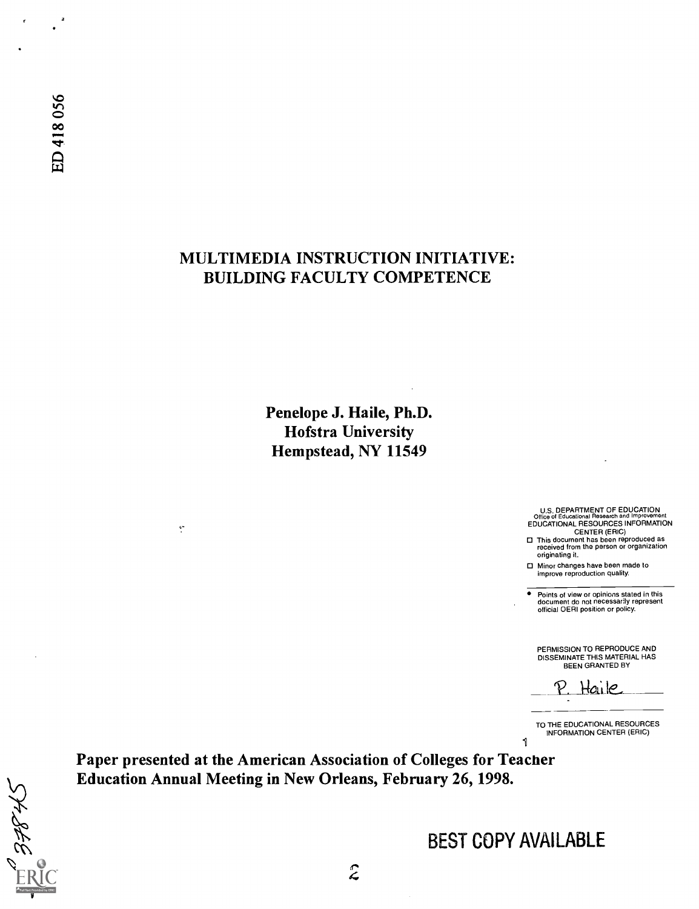**Halth** 

ø

# MULTIMEDIA INSTRUCTION INITIATIVE: BUILDING FACULTY COMPETENCE

Penelope J. Haile, Ph.D. Hofstra University Hempstead, NY 11549

U.S. DEPARTMENT OF EDUCATION<br>
Office of Educational Research and Improvement<br>
EDUCATIONAL RESOURCES INFORMATION<br>
CENTER (ERIC)<br>
This document has been reproduced as<br>
received from the person or organization

originating it.

Minor changes have been made to improve reproduction quality.

Points of view or opinions stated in this document do not necessarily represent official OERI position or policy.

PERMISSION TO REPRODUCE AND DISSEMINATE THIS MATERIAL HAS BEEN GRANTED BY

Haile

TO THE EDUCATIONAL RESOURCES INFORMATION CENTER (ERIC)  $\mathbf{I}$ 

Paper presented at the American Association of Colleges for Teacher Education Annual Meeting in New Orleans, February 26, 1998.

 $\mathbf{e}$ 

BEST COPY AVAILABLE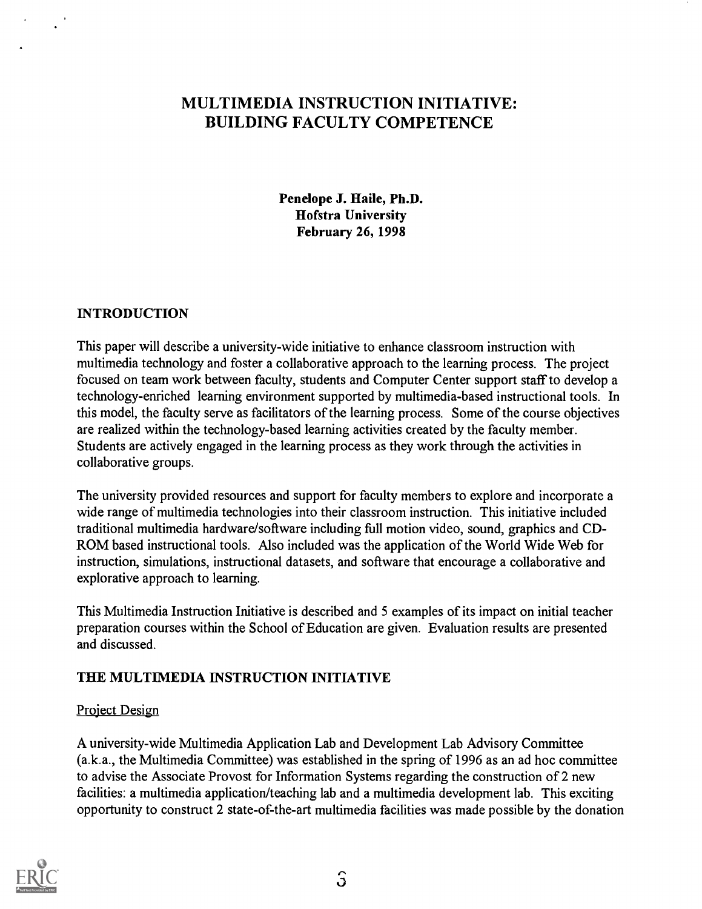# MULTIMEDIA INSTRUCTION INITIATIVE: BUILDING FACULTY COMPETENCE

Penelope J. Haile, Ph.D. Hofstra University February 26, 1998

# INTRODUCTION

This paper will describe a university-wide initiative to enhance classroom instruction with multimedia technology and foster a collaborative approach to the learning process. The project focused on team work between faculty, students and Computer Center support staff to develop a technology-enriched learning environment supported by multimedia-based instructional tools. In this model, the faculty serve as facilitators of the learning process. Some of the course objectives are realized within the technology-based learning activities created by the faculty member. Students are actively engaged in the learning process as they work through the activities in collaborative groups.

The university provided resources and support for faculty members to explore and incorporate a wide range of multimedia technologies into their classroom instruction. This initiative included traditional multimedia hardware/software including full motion video, sound, graphics and CD-ROM based instructional tools. Also included was the application of the World Wide Web for instruction, simulations, instructional datasets, and software that encourage a collaborative and explorative approach to learning.

This Multimedia Instruction Initiative is described and 5 examples of its impact on initial teacher preparation courses within the School of Education are given. Evaluation results are presented and discussed.

# THE MULTIMEDIA INSTRUCTION INITIATIVE

# Project Design

A university-wide Multimedia Application Lab and Development Lab Advisory Committee (a.k.a., the Multimedia Committee) was established in the spring of 1996 as an ad hoc committee to advise the Associate Provost for Information Systems regarding the construction of 2 new facilities: a multimedia application/teaching lab and a multimedia development lab. This exciting opportunity to construct 2 state-of-the-art multimedia facilities was made possible by the donation

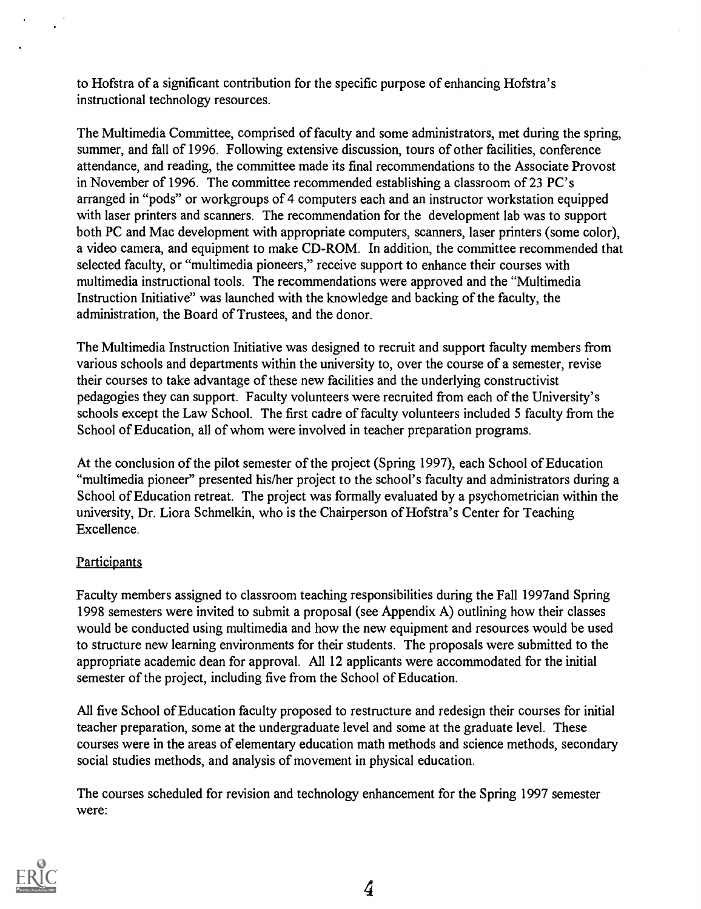to Hofstra of a significant contribution for the specific purpose of enhancing Hofstra's instructional technology resources.

The Multimedia Committee, comprised of faculty and some administrators, met during the spring, summer, and fall of 1996. Following extensive discussion, tours of other facilities, conference attendance, and reading, the committee made its final recommendations to the Associate Provost in November of 1996. The committee recommended establishing a classroom of 23 PC's arranged in "pods" or workgroups of 4 computers each and an instructor workstation equipped with laser printers and scanners. The recommendation for the development lab was to support both PC and Mac development with appropriate computers, scanners, laser printers (some color), a video camera, and equipment to make CD-ROM. In addition, the committee recommended that selected faculty, or "multimedia pioneers," receive support to enhance their courses with multimedia instructional tools. The recommendations were approved and the "Multimedia Instruction Initiative" was launched with the knowledge and backing of the faculty, the administration, the Board of Trustees, and the donor.

The Multimedia Instruction Initiative was designed to recruit and support faculty members from various schools and departments within the university to, over the course of a semester, revise their courses to take advantage of these new facilities and the underlying constructivist pedagogies they can support. Faculty volunteers were recruited from each of the University's schools except the Law School. The first cadre of faculty volunteers included 5 faculty from the School of Education, all of whom were involved in teacher preparation programs.

At the conclusion of the pilot semester of the project (Spring 1997), each School of Education "multimedia pioneer" presented his/her project to the school's faculty and administrators during a School of Education retreat. The project was formally evaluated by a psychometrician within the university, Dr. Liora Schmelkin, who is the Chairperson of Hofstra's Center for Teaching Excellence.

# **Participants**

Faculty members assigned to classroom teaching responsibilities during the Fall 1997and Spring 1998 semesters were invited to submit a proposal (see Appendix A) outlining how their classes would be conducted using multimedia and how the new equipment and resources would be used to structure new learning environments for their students. The proposals were submitted to the appropriate academic dean for approval. All 12 applicants were accommodated for the initial semester of the project, including five from the School of Education.

All five School of Education faculty proposed to restructure and redesign their courses for initial teacher preparation, some at the undergraduate level and some at the graduate level. These courses were in the areas of elementary education math methods and science methods, secondary social studies methods, and analysis of movement in physical education.

The courses scheduled for revision and technology enhancement for the Spring 1997 semester were:

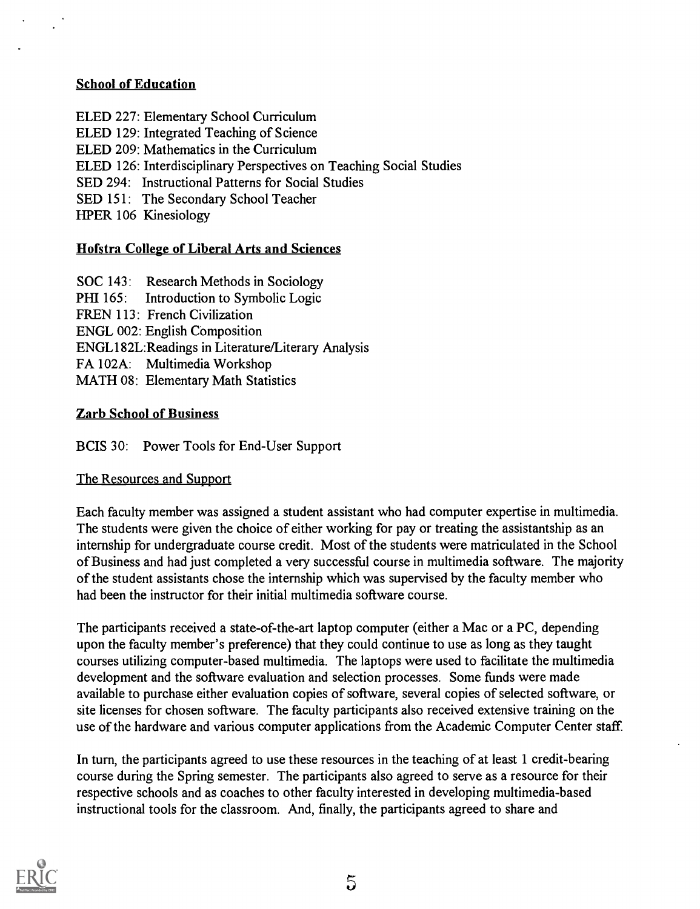# School of Education

ELED 227: Elementary School Curriculum ELED 129: Integrated Teaching of Science ELED 209: Mathematics in the Curriculum ELED 126: Interdisciplinary Perspectives on Teaching Social Studies SED 294: Instructional Patterns for Social Studies SED 151: The Secondary School Teacher HPER 106 Kinesiology

# Hofstra College of Liberal Arts and Sciences

SOC 143: Research Methods in Sociology PHI 165: Introduction to Symbolic Logic FREN 113: French Civilization ENGL 002: English Composition ENGL182L:Readings in Literature/Literary Analysis FA 102A: Multimedia Workshop MATH 08: Elementary Math Statistics

# Zarb School of Business

BCIS 30: Power Tools for End-User Support

# The Resources and Support

Each faculty member was assigned a student assistant who had computer expertise in multimedia. The students were given the choice of either working for pay or treating the assistantship as an internship for undergraduate course credit. Most of the students were matriculated in the School of Business and had just completed a very successful course in multimedia software. The majority of the student assistants chose the internship which was supervised by the faculty member who had been the instructor for their initial multimedia software course.

The participants received a state-of-the-art laptop computer (either a Mac or a PC, depending upon the faculty member's preference) that they could continue to use as long as they taught courses utilizing computer-based multimedia. The laptops were used to facilitate the multimedia development and the software evaluation and selection processes. Some funds were made available to purchase either evaluation copies of software, several copies of selected software, or site licenses for chosen software. The faculty participants also received extensive training on the use of the hardware and various computer applications from the Academic Computer Center staff.

In turn, the participants agreed to use these resources in the teaching of at least 1 credit-bearing course during the Spring semester. The participants also agreed to serve as a resource for their respective schools and as coaches to other faculty interested in developing multimedia-based instructional tools for the classroom. And, finally, the participants agreed to share and

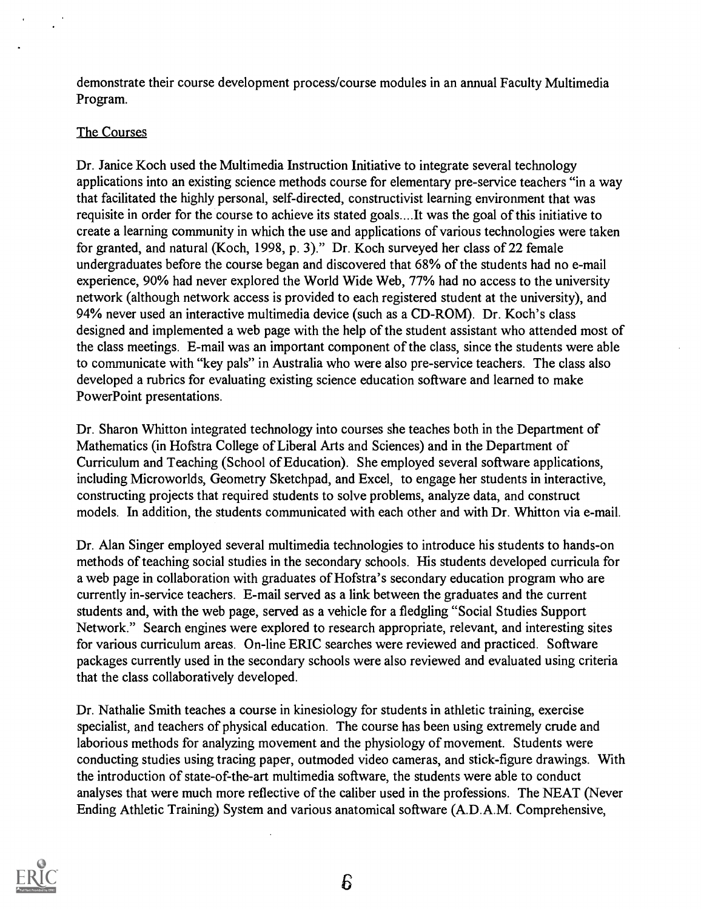demonstrate their course development process/course modules in an annual Faculty Multimedia Program.

# The Courses

Dr. Janice Koch used the Multimedia Instruction Initiative to integrate several technology applications into an existing science methods course for elementary pre-service teachers "in a way that facilitated the highly personal, self-directed, constructivist learning environment that was requisite in order for the course to achieve its stated goals....It was the goal of this initiative to create a learning community in which the use and applications of various technologies were taken for granted, and natural (Koch, 1998, p. 3)." Dr. Koch surveyed her class of 22 female undergraduates before the course began and discovered that 68% of the students had no e-mail experience, 90% had never explored the World Wide Web, 77% had no access to the university network (although network access is provided to each registered student at the university), and 94% never used an interactive multimedia device (such as a CD-ROM). Dr. Koch's class designed and implemented a web page with the help of the student assistant who attended most of the class meetings. E-mail was an important component of the class, since the students were able to communicate with "key pals" in Australia who were also pre-service teachers. The class also developed a rubrics for evaluating existing science education software and learned to make PowerPoint presentations.

Dr. Sharon Whitton integrated technology into courses she teaches both in the Department of Mathematics (in Hofstra College of Liberal Arts and Sciences) and in the Department of Curriculum and Teaching (School of Education). She employed several software applications, including Microworlds, Geometry Sketchpad, and Excel, to engage her students in interactive, constructing projects that required students to solve problems, analyze data, and construct models. In addition, the students communicated with each other and with Dr. Whitton via e-mail.

Dr. Alan Singer employed several multimedia technologies to introduce his students to hands-on methods of teaching social studies in the secondary schools. His students developed curricula for a web page in collaboration with graduates of Hofstra's secondary education program who are currently in-service teachers. E-mail served as a link between the graduates and the current students and, with the web page, served as a vehicle for a fledgling "Social Studies Support Network." Search engines were explored to research appropriate, relevant, and interesting sites for various curriculum areas. On-line ERIC searches were reviewed and practiced. Software packages currently used in the secondary schools were also reviewed and evaluated using criteria that the class collaboratively developed.

Dr. Nathalie Smith teaches a course in kinesiology for students in athletic training, exercise specialist, and teachers of physical education. The course has been using extremely crude and laborious methods for analyzing movement and the physiology of movement. Students were conducting studies using tracing paper, outmoded video cameras, and stick-figure drawings. With the introduction of state-of-the-art multimedia software, the students were able to conduct analyses that were much more reflective of the caliber used in the professions. The NEAT (Never Ending Athletic Training) System and various anatomical software (A.D.A.M. Comprehensive,

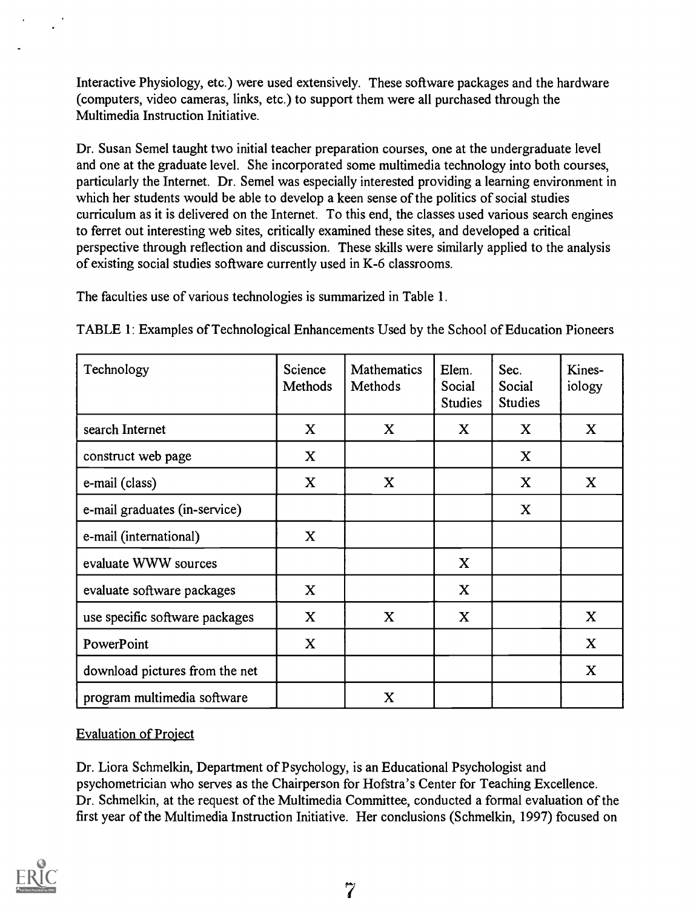Interactive Physiology, etc.) were used extensively. These software packages and the hardware (computers, video cameras, links, etc.) to support them were all purchased through the Multimedia Instruction Initiative.

Dr. Susan Semel taught two initial teacher preparation courses, one at the undergraduate level and one at the graduate level. She incorporated some multimedia technology into both courses, particularly the Internet. Dr. Semel was especially interested providing a learning environment in which her students would be able to develop a keen sense of the politics of social studies curriculum as it is delivered on the Internet. To this end, the classes used various search engines to ferret out interesting web sites, critically examined these sites, and developed a critical perspective through reflection and discussion. These skills were similarly applied to the analysis of existing social studies software currently used in K-6 classrooms.

The faculties use of various technologies is summarized in Table 1.

| Technology                     | Science<br>Methods | <b>Mathematics</b><br>Methods | Elem.<br>Social<br><b>Studies</b> | Sec.<br>Social<br><b>Studies</b> | Kines-<br>iology |
|--------------------------------|--------------------|-------------------------------|-----------------------------------|----------------------------------|------------------|
| search Internet                | X                  | X                             | $\mathbf{X}$                      | X                                | X                |
| construct web page             | X                  |                               |                                   | $\mathbf X$                      |                  |
| e-mail (class)                 | X                  | X                             |                                   | X                                | X                |
| e-mail graduates (in-service)  |                    |                               |                                   | X                                |                  |
| e-mail (international)         | $\mathbf X$        |                               |                                   |                                  |                  |
| evaluate WWW sources           |                    |                               | X                                 |                                  |                  |
| evaluate software packages     | X                  |                               | X                                 |                                  |                  |
| use specific software packages | $\mathbf X$        | $\mathbf X$                   | $\mathbf X$                       |                                  | $\mathbf X$      |
| PowerPoint                     | $\mathbf X$        |                               |                                   |                                  | X                |
| download pictures from the net |                    |                               |                                   |                                  | X                |
| program multimedia software    |                    | $\mathbf X$                   |                                   |                                  |                  |

TABLE 1: Examples of Technological Enhancements Used by the School of Education Pioneers

# Evaluation of Project

Dr. Liora Schmelkin, Department of Psychology, is an Educational Psychologist and psychometrician who serves as the Chairperson for Hofstra's Center for Teaching Excellence. Dr. Schmelkin, at the request of the Multimedia Committee, conducted a formal evaluation of the first year of the Multimedia Instruction Initiative. Her conclusions (Schmelkin, 1997) focused on

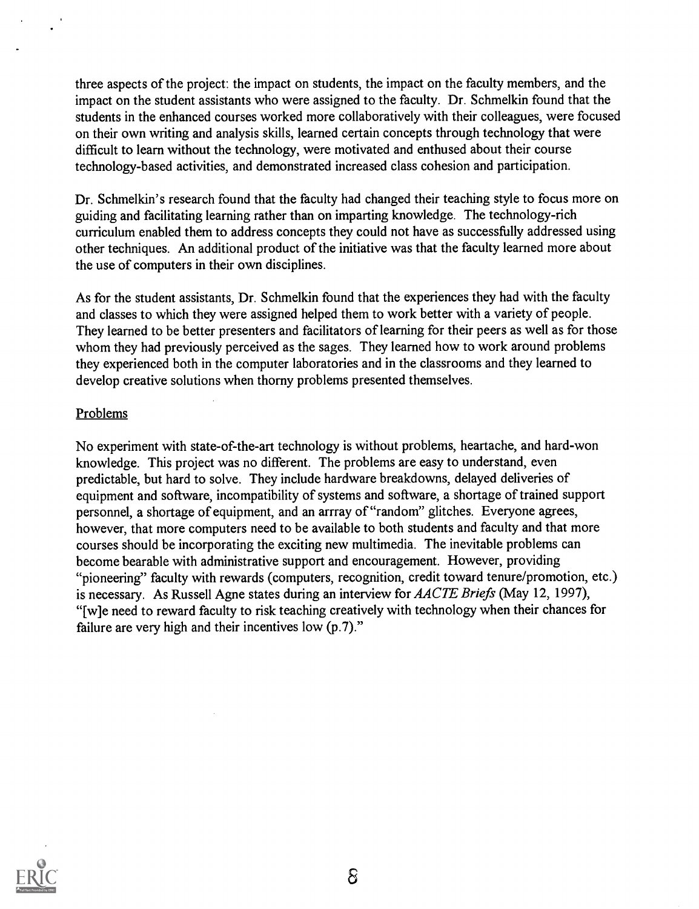three aspects of the project: the impact on students, the impact on the faculty members, and the impact on the student assistants who were assigned to the faculty. Dr. Schmelkin found that the students in the enhanced courses worked more collaboratively with their colleagues, were focused on their own writing and analysis skills, learned certain concepts through technology that were difficult to learn without the technology, were motivated and enthused about their course technology-based activities, and demonstrated increased class cohesion and participation.

Dr. Schmelkin's research found that the faculty had changed their teaching style to focus more on guiding and facilitating learning rather than on imparting knowledge. The technology-rich curriculum enabled them to address concepts they could not have as successfully addressed using other techniques. An additional product of the initiative was that the faculty learned more about the use of computers in their own disciplines.

As for the student assistants, Dr. Schmelkin found that the experiences they had with the faculty and classes to which they were assigned helped them to work better with a variety of people. They learned to be better presenters and facilitators of learning for their peers as well as for those whom they had previously perceived as the sages. They learned how to work around problems they experienced both in the computer laboratories and in the classrooms and they learned to develop creative solutions when thorny problems presented themselves.

# **Problems**

No experiment with state-of-the-art technology is without problems, heartache, and hard-won knowledge. This project was no different. The problems are easy to understand, even predictable, but hard to solve. They include hardware breakdowns, delayed deliveries of equipment and software, incompatibility of systems and software, a shortage of trained support personnel, a shortage of equipment, and an arrray of "random" glitches. Everyone agrees, however, that more computers need to be available to both students and faculty and that more courses should be incorporating the exciting new multimedia. The inevitable problems can become bearable with administrative support and encouragement. However, providing "pioneering" faculty with rewards (computers, recognition, credit toward tenure/promotion, etc.) is necessary. As Russell Agne states during an interview for AACTE Briefs (May 12, 1997), "[w]e need to reward faculty to risk teaching creatively with technology when their chances for failure are very high and their incentives low (p.7)."

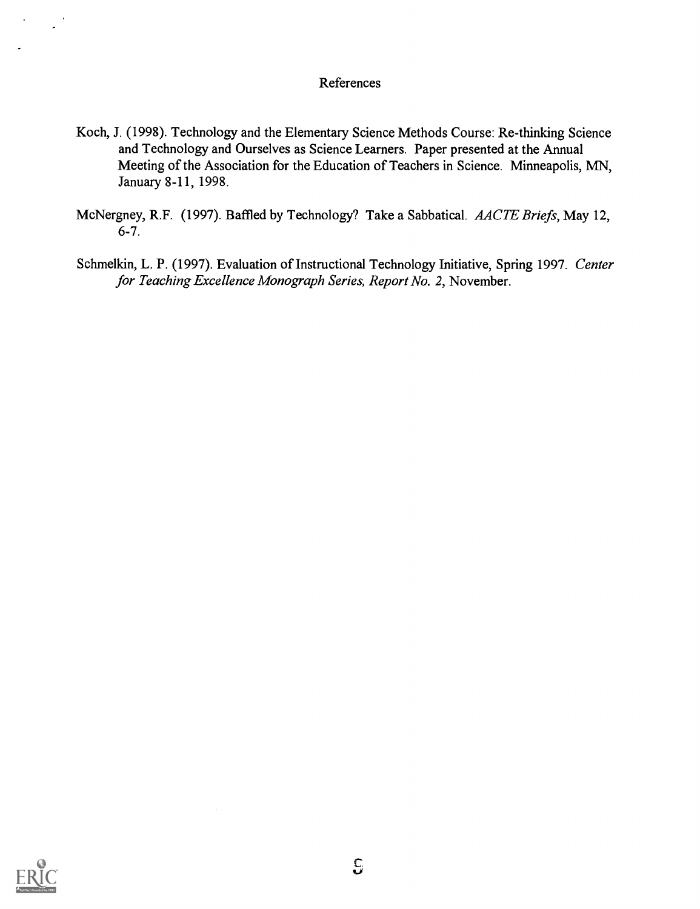# References

- Koch, J. (1998). Technology and the Elementary Science Methods Course: Re-thinking Science and Technology and Ourselves as Science Learners. Paper presented at the Annual Meeting of the Association for the Education of Teachers in Science. Minneapolis, MN, January 8-11, 1998.
- McNergney, R.F. (1997). Baffled by Technology? Take a Sabbatical. AACTE Briefs, May 12, 6-7.
- Schmelkin, L. P. (1997). Evaluation of Instructional Technology Initiative, Spring 1997. Center for Teaching Excellence Monograph Series, Report No. 2, November.

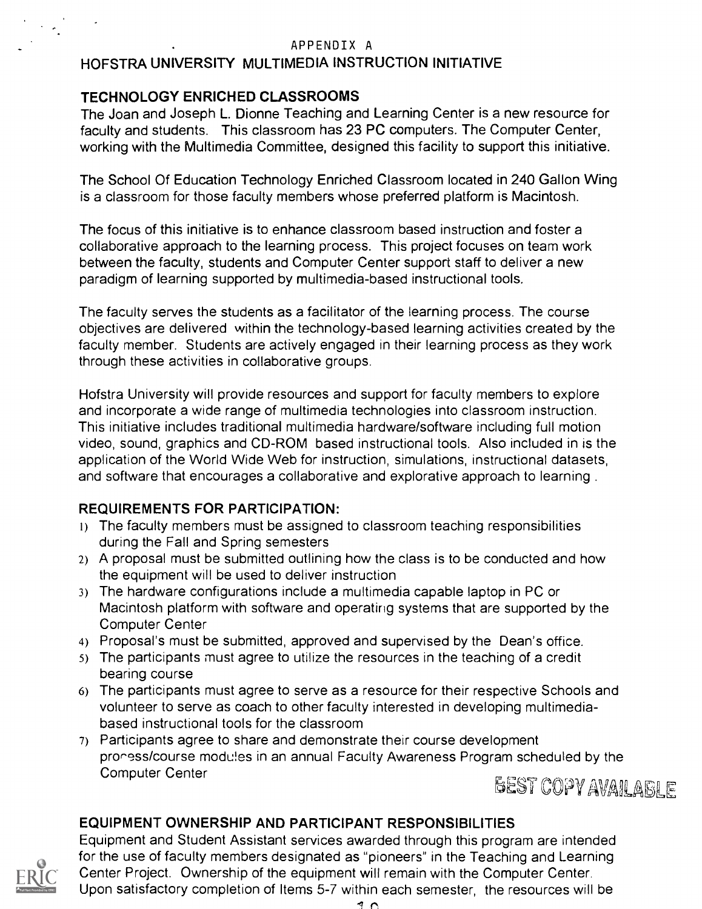# APPENDIX A

# HOFSTRA UNIVERSITY MULTIMEDIA INSTRUCTION INITIATIVE

# TECHNOLOGY ENRICHED CLASSROOMS

The Joan and Joseph L. Dionne Teaching and Learning Center is a new resource for faculty and students. This classroom has 23 PC computers. The Computer Center, working with the Multimedia Committee, designed this facility to support this initiative.

The School Of Education Technology Enriched Classroom located in 240 Gallon Wing is a classroom for those faculty members whose preferred platform is Macintosh.

The focus of this initiative is to enhance classroom based instruction and foster a collaborative approach to the learning process. This project focuses on team work between the faculty, students and Computer Center support staff to deliver a new paradigm of learning supported by multimedia-based instructional tools.

The faculty serves the students as a facilitator of the learning process. The course objectives are delivered within the technology-based learning activities created by the faculty member. Students are actively engaged in their learning process as they work through these activities in collaborative groups.

Hofstra University will provide resources and support for faculty members to explore and incorporate a wide range of multimedia technologies into classroom instruction. This initiative includes traditional multimedia hardware/software including full motion video, sound, graphics and CD-ROM based instructional tools. Also included in is the application of the World Wide Web for instruction, simulations, instructional datasets, and software that encourages a collaborative and explorative approach to learning .

# REQUIREMENTS FOR PARTICIPATION:

- 1) The faculty members must be assigned to classroom teaching responsibilities during the Fall and Spring semesters
- 2) A proposal must be submitted outlining how the class is to be conducted and how the equipment will be used to deliver instruction
- 3) The hardware configurations include a multimedia capable laptop in PC or Macintosh platform with software and operating systems that are supported by the Computer Center
- 4) Proposal's must be submitted, approved and supervised by the Dean's office.
- 5) The participants must agree to utilize the resources in the teaching of a credit bearing course
- 6) The participants must agree to serve as a resource for their respective Schools and volunteer to serve as coach to other faculty interested in developing multimediabased instructional tools for the classroom
- 7) Participants agree to share and demonstrate their course development proness/course modules in an annual Faculty Awareness Program scheduled by the Computer Center



# EQUIPMENT OWNERSHIP AND PARTICIPANT RESPONSIBILITIES



Equipment and Student Assistant services awarded through this program are intended for the use of faculty members designated as "pioneers" in the Teaching and Learning Center Project. Ownership of the equipment will remain with the Computer Center. Upon satisfactory completion of Items 5-7 within each semester, the resources will be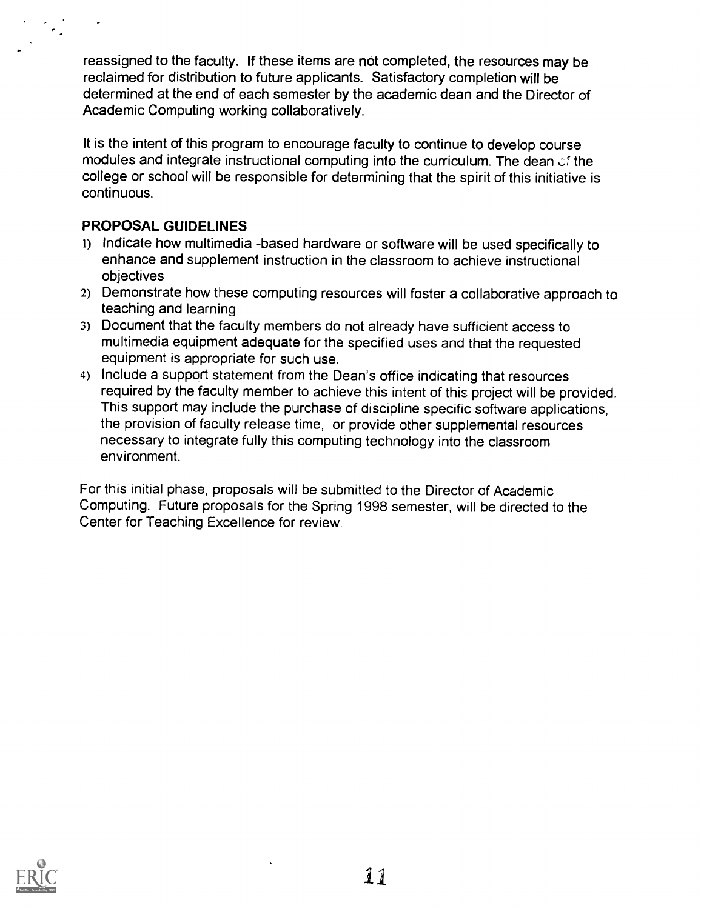reassigned to the faculty. If these items are not completed, the resources may be reclaimed for distribution to future applicants. Satisfactory completion will be determined at the end of each semester by the academic dean and the Director of Academic Computing working collaboratively.

It is the intent of this program to encourage faculty to continue to develop course modules and integrate instructional computing into the curriculum. The dean  $\mathfrak{c}$  the college or school will be responsible for determining that the spirit of this initiative is continuous.

# PROPOSAL GUIDELINES

- 1) Indicate how multimedia -based hardware or software will be used specifically to enhance and supplement instruction in the classroom to achieve instructional objectives
- 2) Demonstrate how these computing resources will foster a collaborative approach to teaching and learning
- 3) Document that the faculty members do not already have sufficient access to multimedia equipment adequate for the specified uses and that the requested equipment is appropriate for such use.
- 4) Include a support statement from the Dean's office indicating that resources required by the faculty member to achieve this intent of this project will be provided. This support may include the purchase of discipline specific software applications, the provision of faculty release time, or provide other supplemental resources necessary to integrate fully this computing technology into the classroom environment.

For this initial phase, proposals will be submitted to the Director of Academic Computing. Future proposals for the Spring 1998 semester, will be directed to the Center for Teaching Excellence for review.

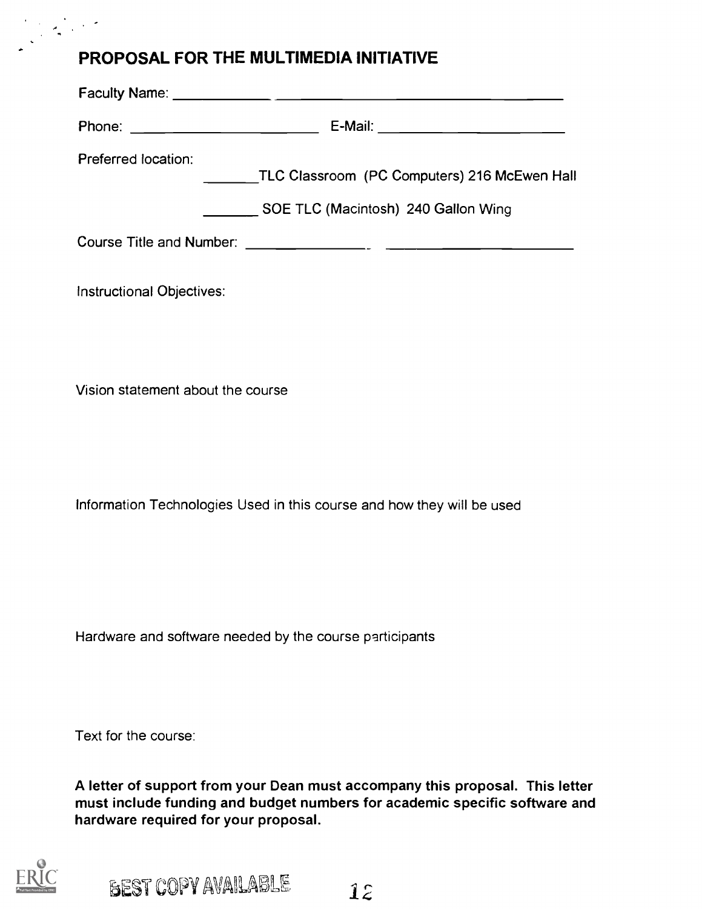# PROPOSAL FOR THE MULTIMEDIA INITIATIVE

| Preferred location: | TLC Classroom (PC Computers) 216 McEwen Hall<br>SOE TLC (Macintosh) 240 Gallon Wing |
|---------------------|-------------------------------------------------------------------------------------|
|                     |                                                                                     |

Instructional Objectives:

Vision statement about the course

Information Technologies Used in this course and how they will be used

Hardware and software needed by the course participants

Text for the course:

A letter of support from your Dean must accompany this proposal. This letter must include funding and budget numbers for academic specific software and hardware required for your proposal.

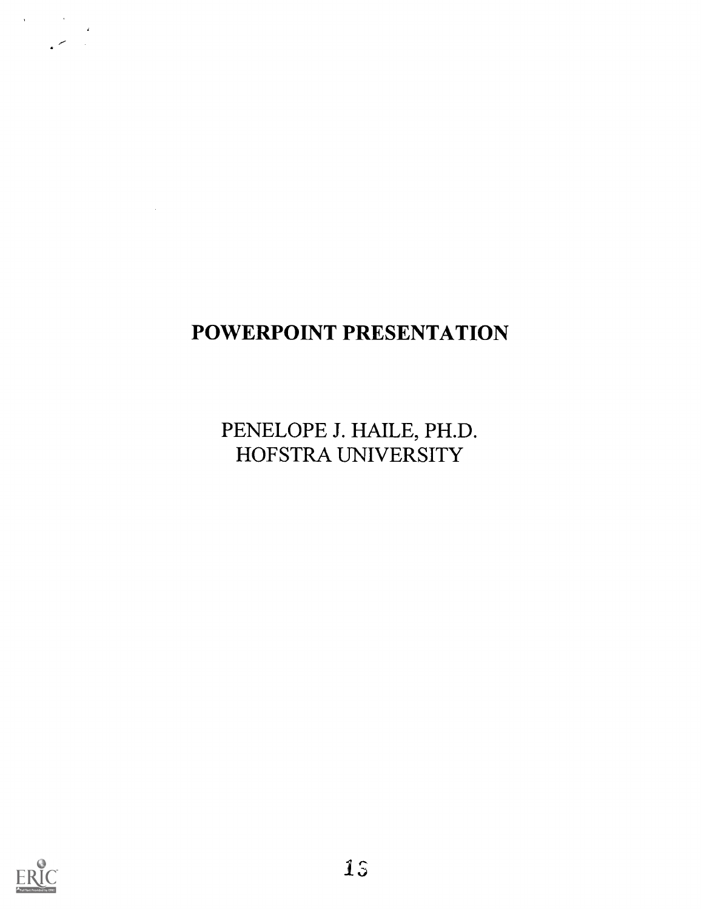# POWERPOINT PRESENTATION

PENELOPE J. HAILE, PH.D. HOFSTRA UNIVERSITY



 $\sim 10^{-1}$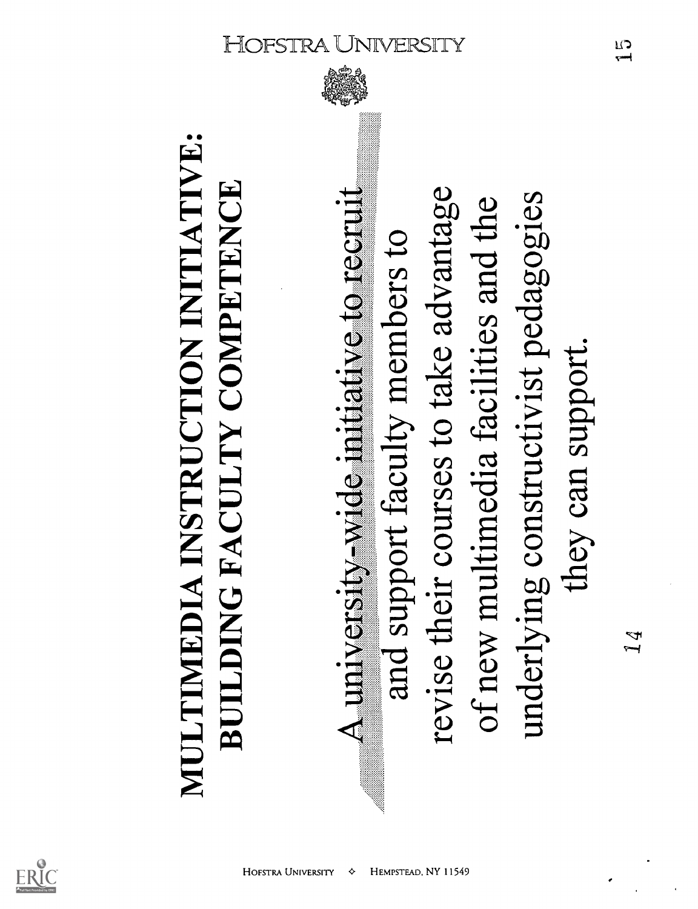

MULTIMEDIA INSTRUCTION INITIATIVE:<br>BUILDING FACULTY COMPETENCE<br>A university-wide initiative to recruit<br>and support faculty members to<br>revise their courses to take advantage A university-wide initiative to recruit<br>and support faculty members to<br>revise their courses to take advantage<br>of new multimedia facilities and the<br>underlying constructivist pedagogies<br>they can support. and support faculty members to embers to<br>se advanta<br>ities and t<br>t pedagog revise their courses to take advantage of new multimedia facilities and the underlying constructivist pedagogies they can support.

HEMPSTEAD, NY 11549

**HOFSTRA UNIVERSITY** 

♦

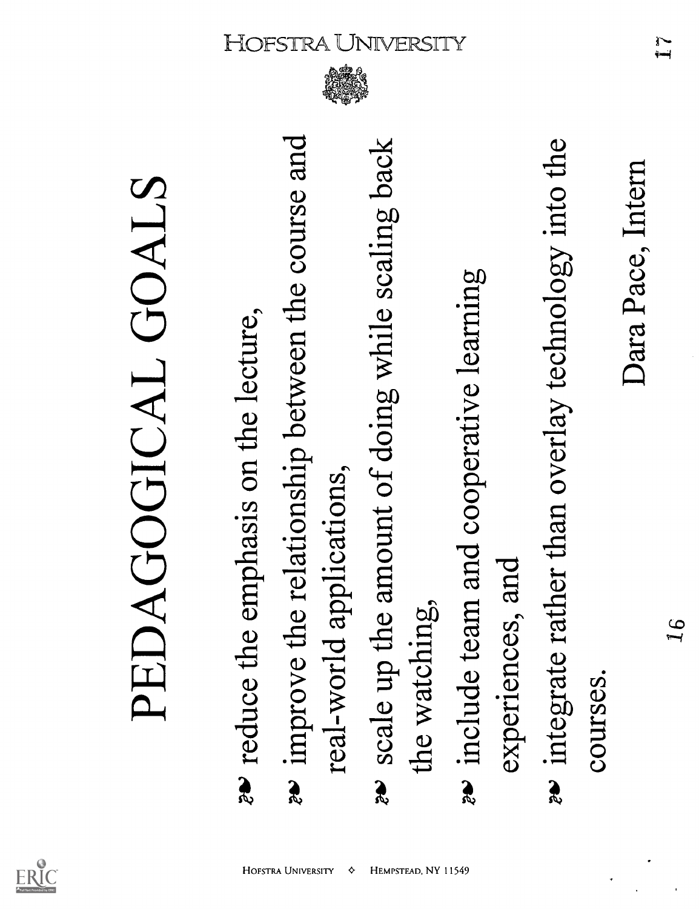

♦

- **PEDAGOGICAL GOALS**<br>  $\bullet$  reduce the emphasis on the lecture,<br>  $\bullet$  improve the relationship between the course and<br>
real-world applications,<br>
as scale up the amount of doing while scaling back<br>
the watching,<br>  $\bullet$  includ
	-
- 
- 

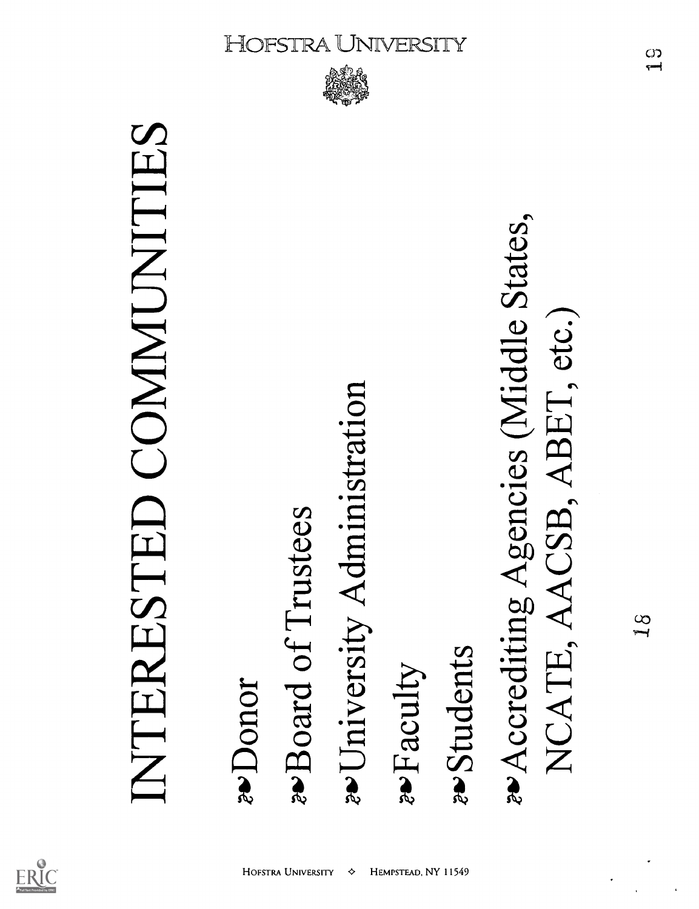

INTERESTED COMMUNITIES<br> *xDonor*<br> *xUniversity Administration*<br> *x*Faculty<br> *x*Accrediting Agencies (Middle States, NCATE, AACSB, ABET, etc.)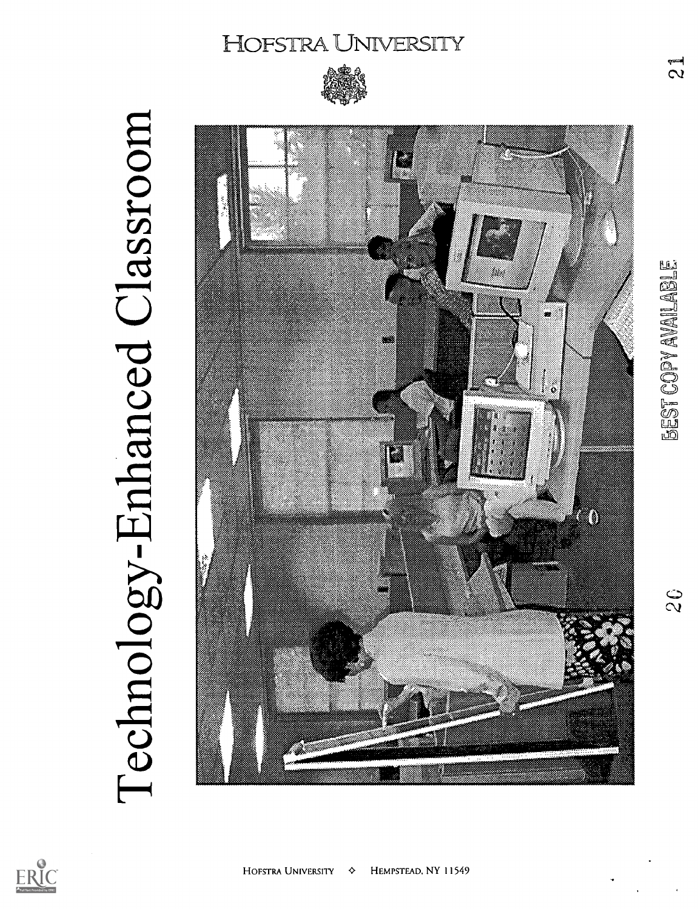

Technology-Enhanced Classroom



 $\mathbf{z}$ 

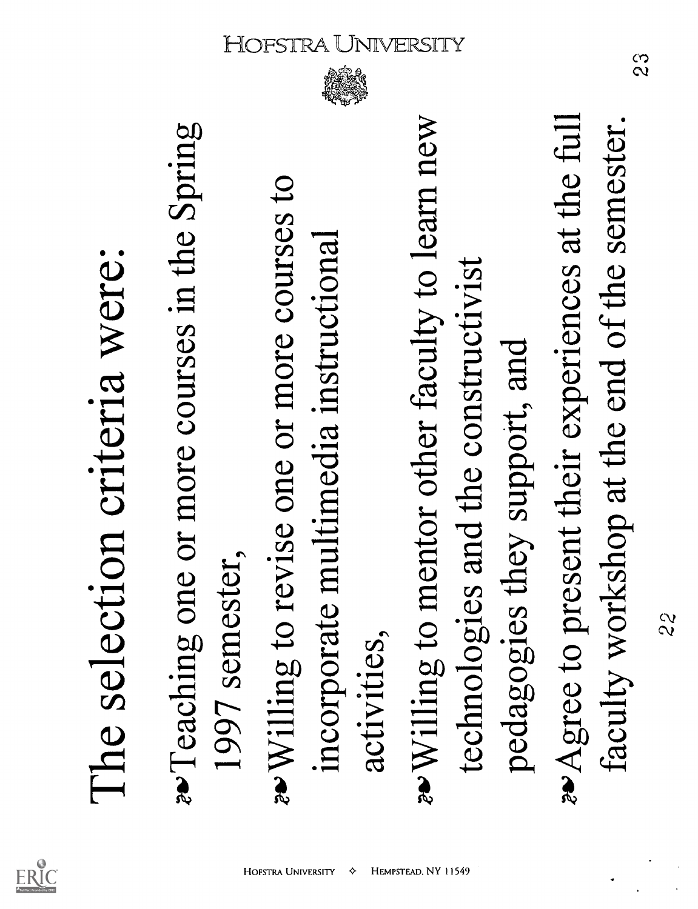

♦



The selection criteria were:<br>
a Teaching one or more courses in the Spring<br>
1997 semester,<br>
incorporate multimedia instructional<br>
activities,<br>
activities,<br>
rechnologies and the constructivist<br>
pedagogies they support, and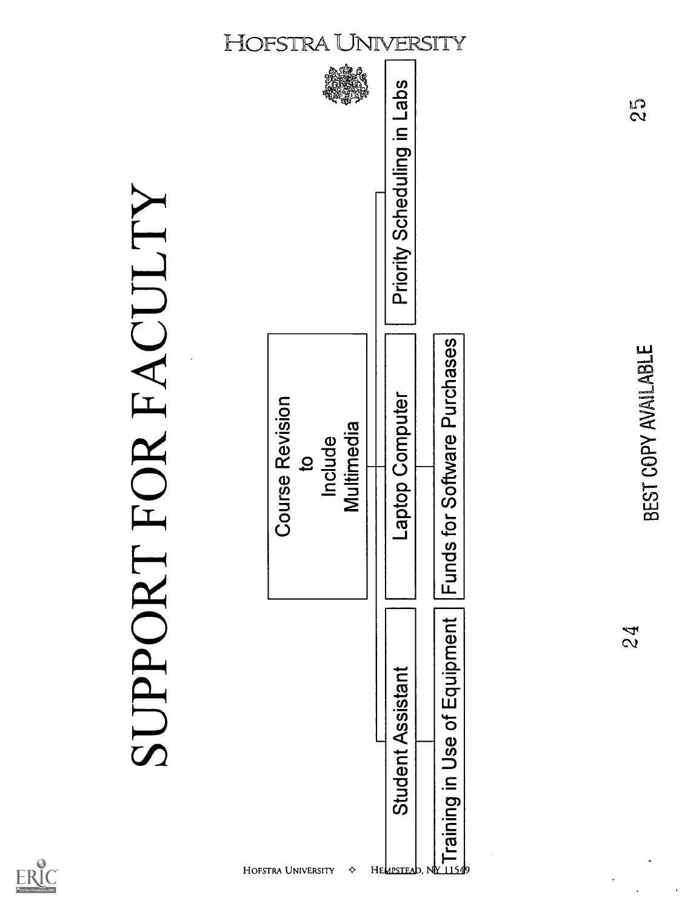



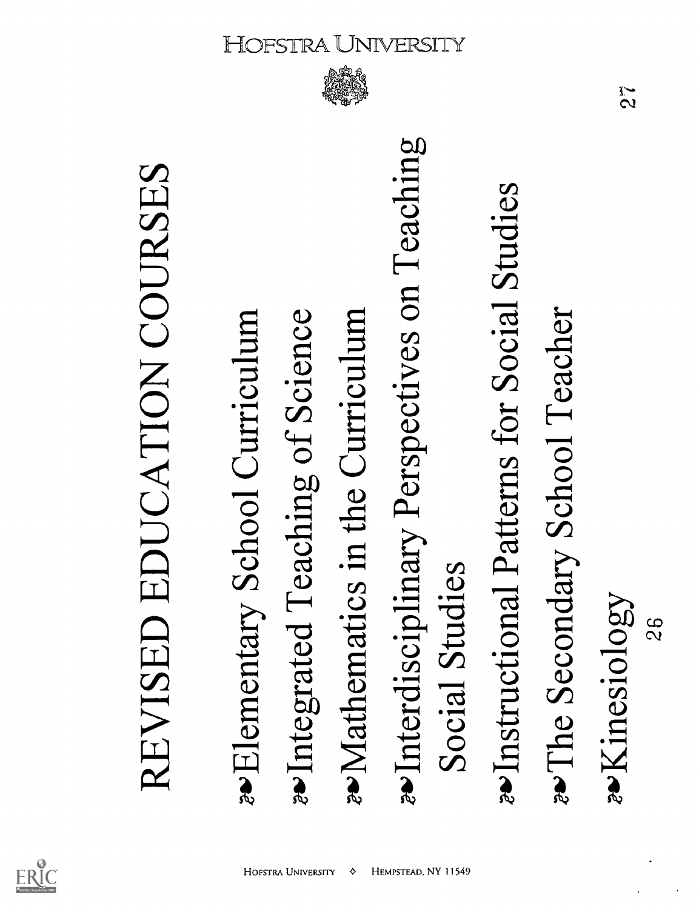

♦

REVISED EDUCATION COURSES<br> **\*Elementary School Curriculum**<br>
\*Integrated Teaching of Science<br>
\*Mathematics in the Curriculum<br>
\*Interdisciplinary Perspectives on Teaching<br>
Social Studies<br>
\*Instructional Patterns for Social S

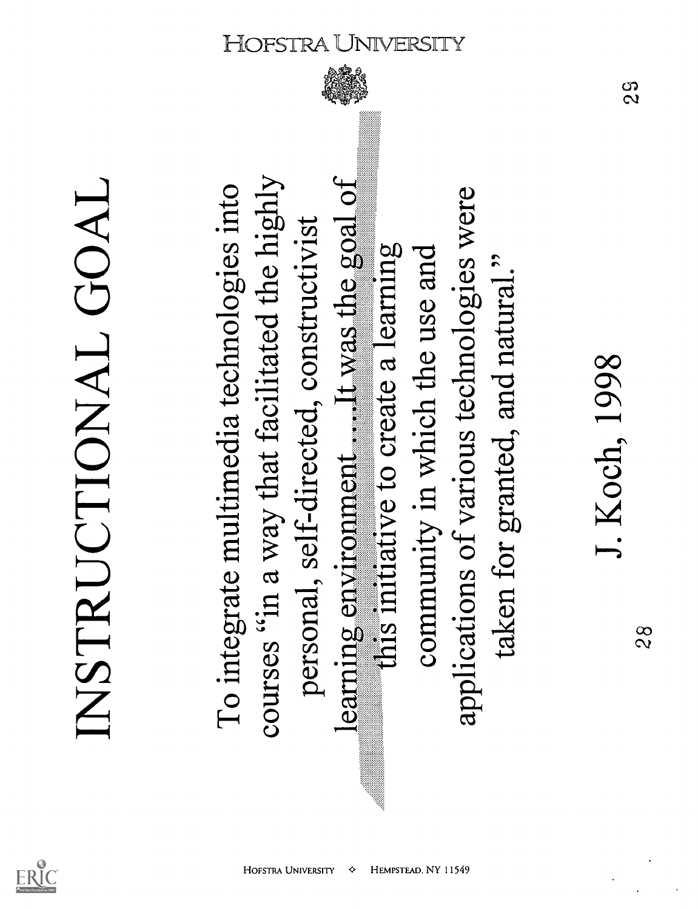

INSTRUCTIONAL GOAL<br>To integrate multimedia technologies into<br>courses "in a way that facilitated the highly<br>personal, self-directed, constructivist<br>learning environment......It was the goal of<br>community in which the use an

**HOFSTRA UNIVERSITY** 

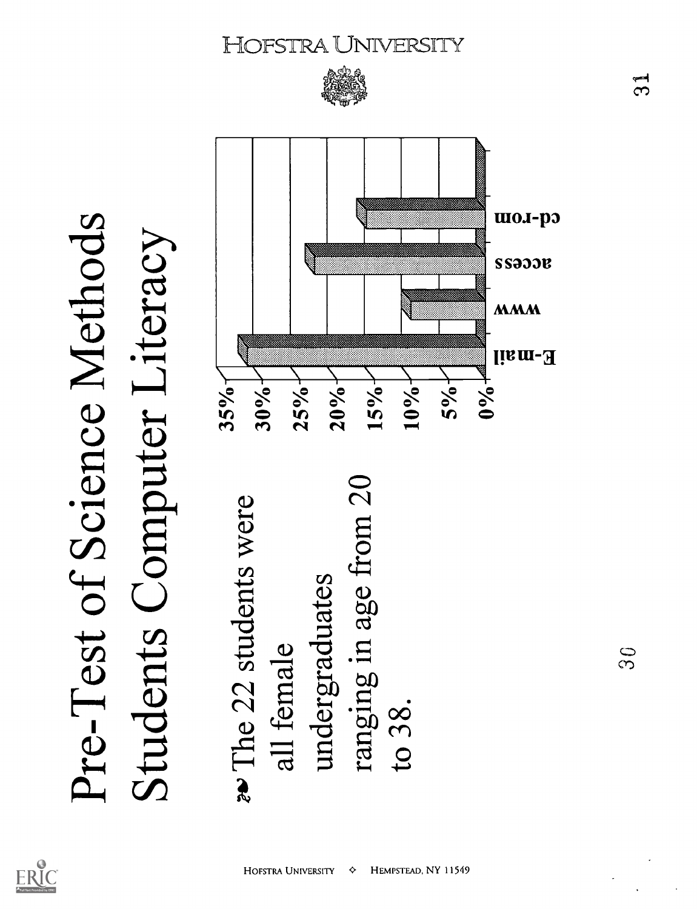



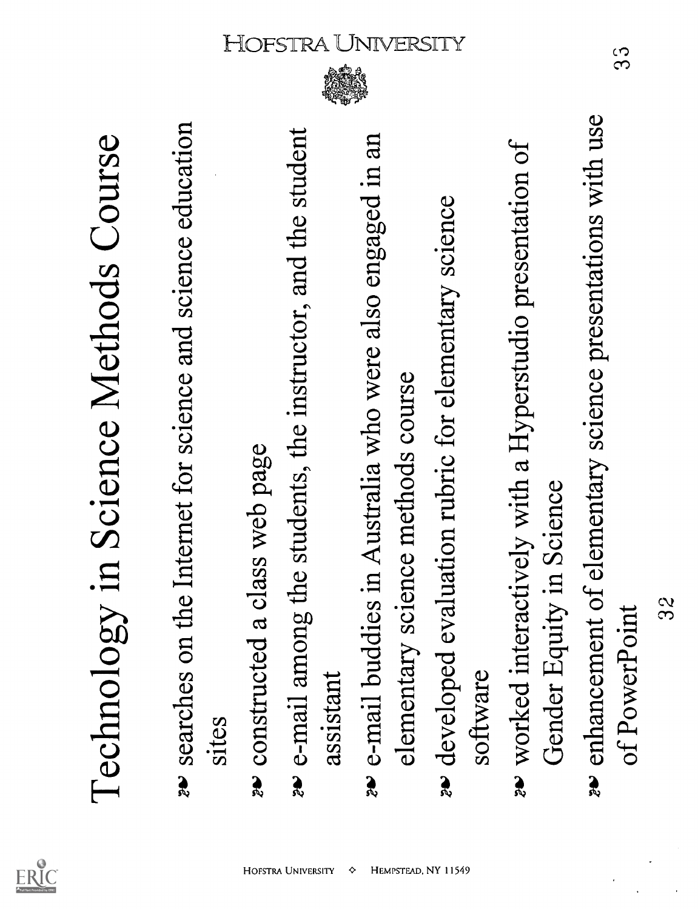

- 
- 

- Technology in Science Methods Course<br>  $\frac{1}{2}$  searches on the Internet for science and science education<br>  $\frac{1}{2}$  sites<br>  $\frac{1}{2}$  constructed a class web page<br>  $\frac{1}{2}$  constructed a class web page<br>  $\frac{1}{2}$  constr
	-

- 
- 
-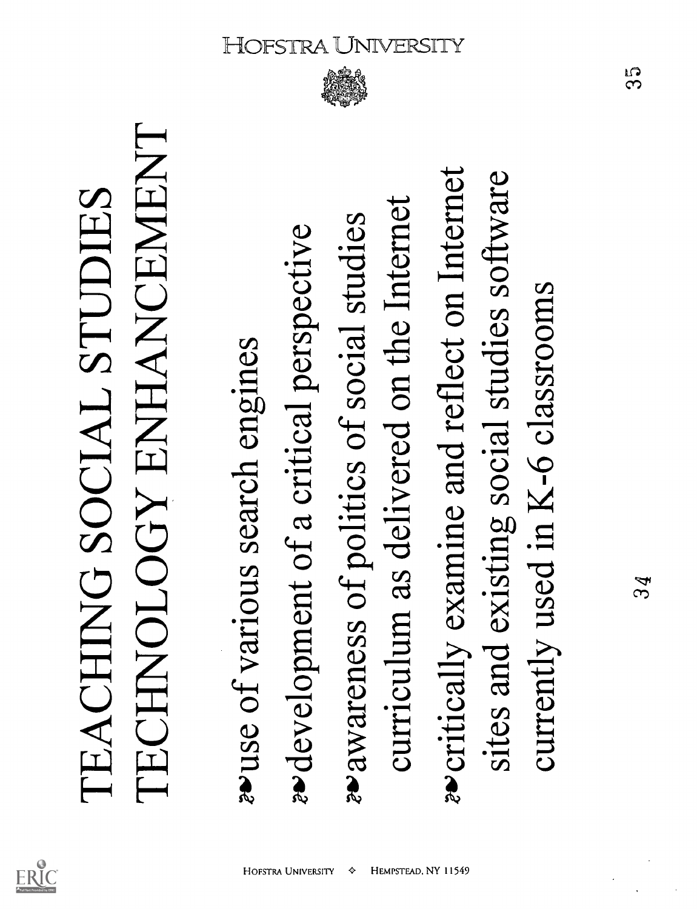

HEMPSTEAD, NY 11549

♦

**HOFSTRA UNIVERSITY** 

TEACHING SOCIAL STUDIES<br>TECHNOLOGY ENHANCEMENT<br>waves of various search engines<br>wedevelopment of a critical perspective<br>exavareness of politics of social studies<br>curriculum as delivered on the Internet<br>sites and existing so

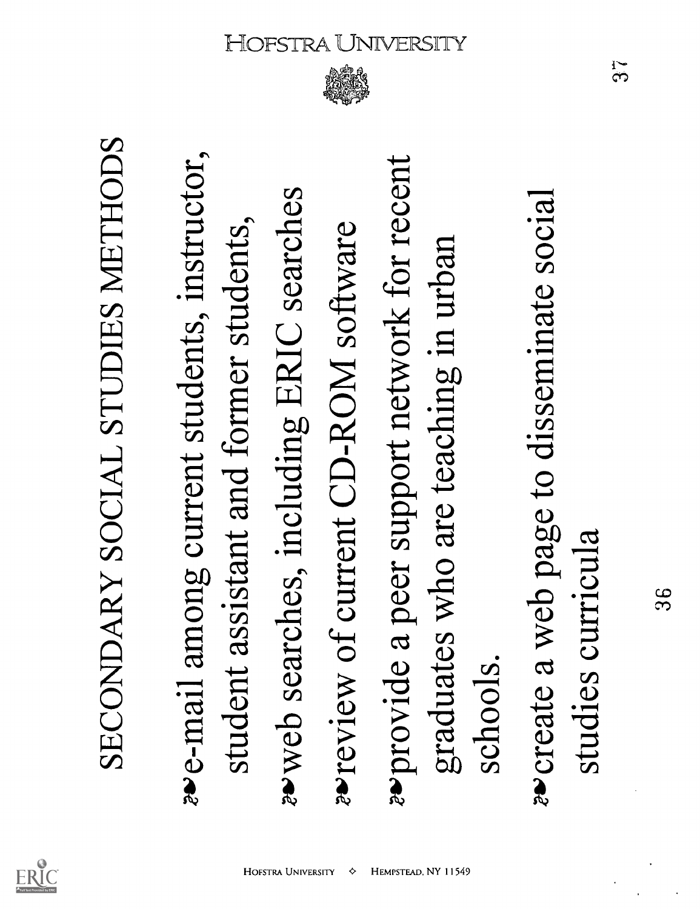

SECONDARY SOCIAL STUDIES METHODS<br> **EVALUARY SOCIAL STUDIES METHODS**<br>
student assistant and former students,<br>
student assistant and former students,<br>
streview of current CD-ROM software<br>
graduates who are teaching in urban<br>

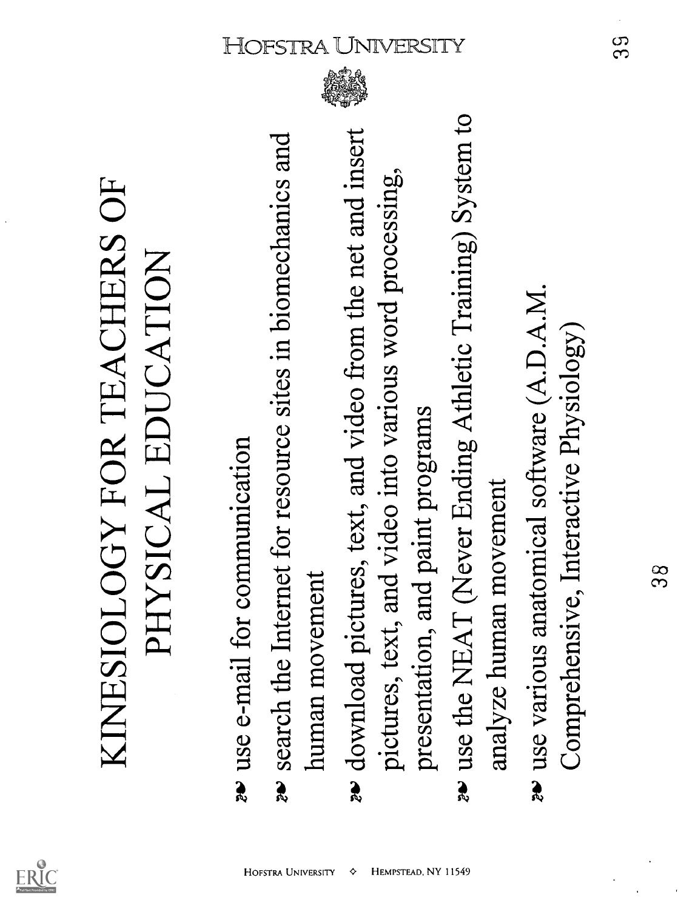

- 
- 

KINESIOLOGY FOR TEACHERS OF<br> **PHYSICAL EDUCATION**<br> **as** use e-mail for communication<br> **as** search the Internet for resource sites in biomechanics<br>
human movement<br>
pictures, text, and video into various word processing<br>
pre As search the Internet for resource sites in biomechanics and<br>human movement<br>download pictures, text, and video from the net and insett  $\sum_{N=1}^{n}$ <br>pictures, text, and video into various word processing,<br>presentation, an

- 
- 

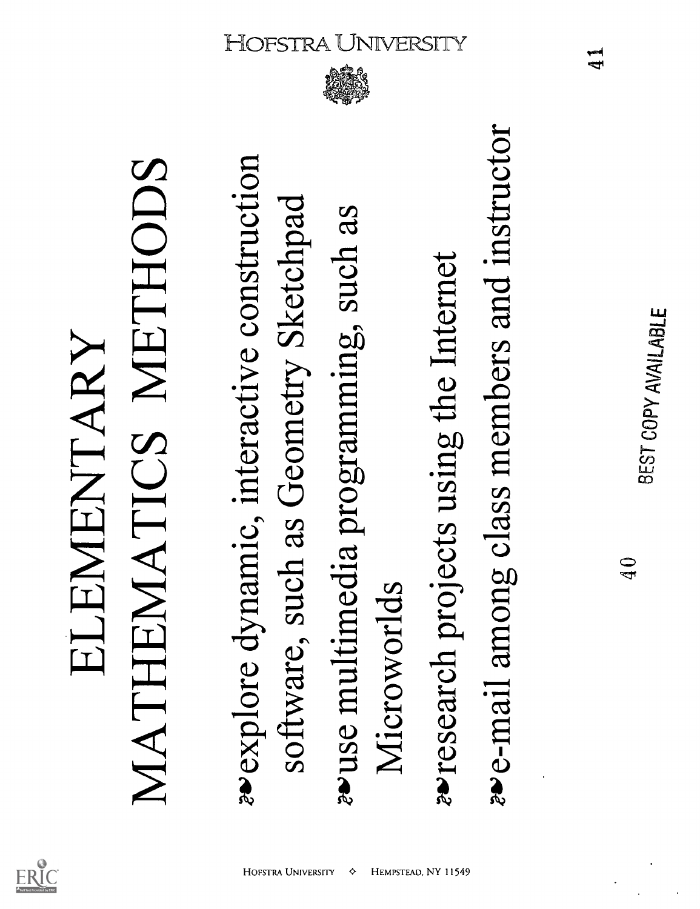

ELEMENTARY<br>MATHEMATICS METHODS<br>\*\*explore dynamic, interactive construction<br>software, such as Geometry Sketchpad<br>\*\*use multimedia programming, such as<br>Microworlds<br>\*\*esearch projects using the Internet<br>\*\*e-mail among class m



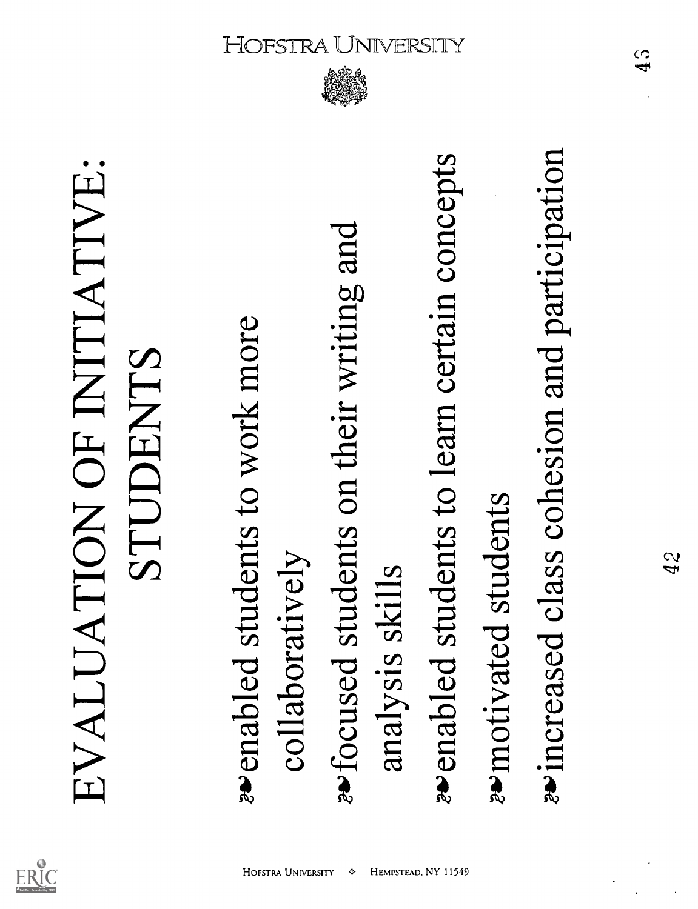

# EVALUATION OF INITIATIVE:<br>
seemabled students to work more<br>
collaboratively<br>
sefocused students on their writing and<br>
analysis skills<br>
seemabled students to learn certain concepts<br>
seemotivated students<br>
seincreased class

**HOFSTRA UNIVERSITY** 

◈

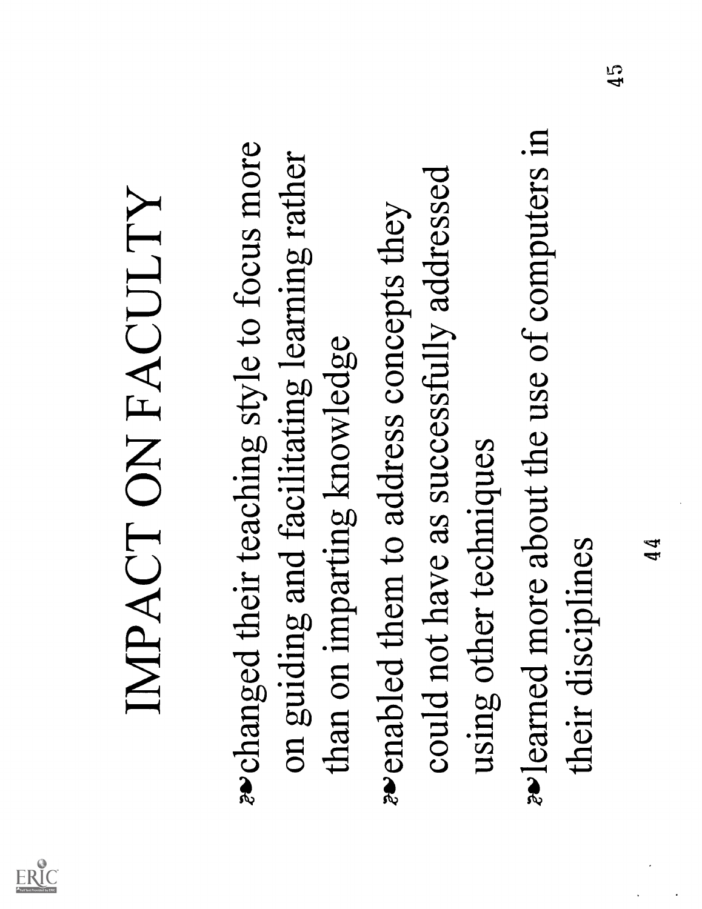

IMPACT ON FACULTY<br>  $\bullet$  changed their teaching style to focus more<br>
on guiding and facilitating learning rather<br>
than on imparting knowledge<br>  $\bullet$  enabled them to address concepts they<br>
could not have as successfully addr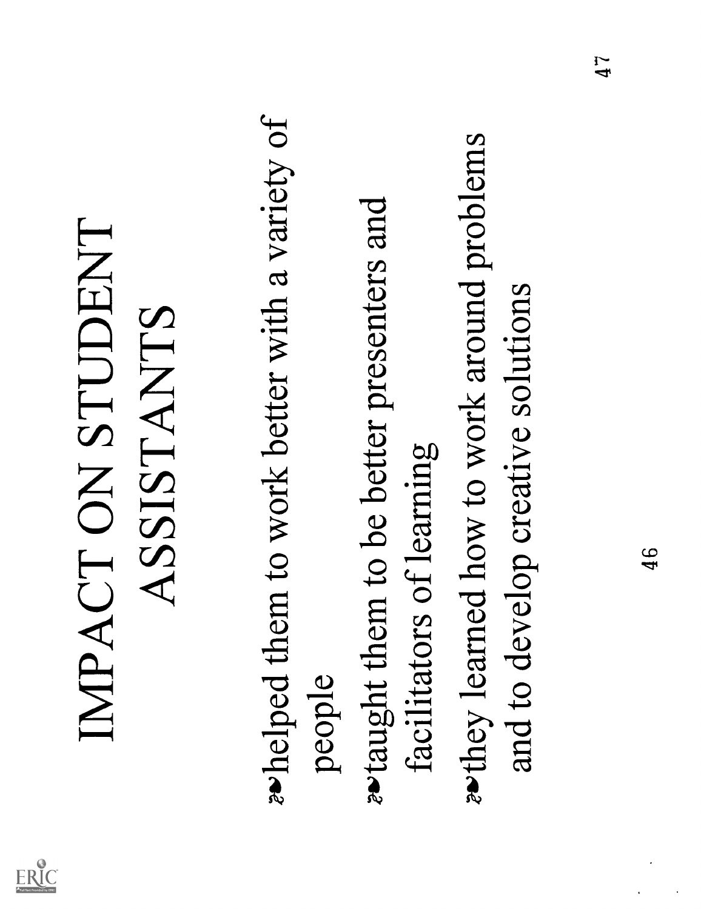

IMPACT ON STUDENT<br>
ASSISTANTS<br>
whelped them to work better with a variety of<br>
people<br>
wtaught them to be better presenters and<br>
facilitators of learning<br>
and to develop creative solutions<br>
and to develop creative solutions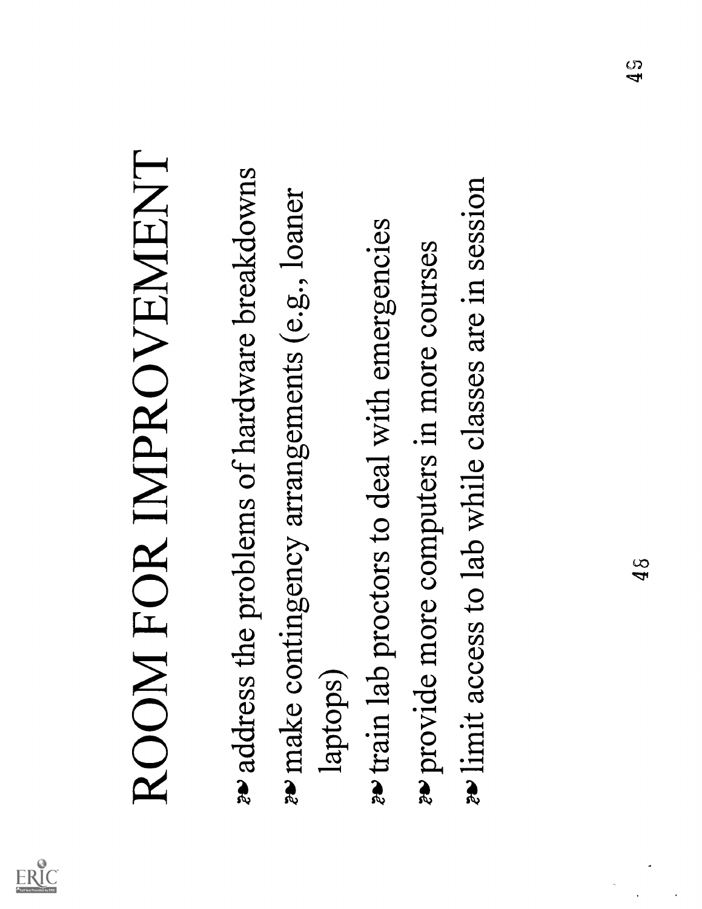

- ROOM FOR IMPROVEMENT<br> **\*\*** address the problems of hardware breakdowns<br>
\* make contingency arrangements (e.g., loaner<br>
aptops)<br>
\* train lab proctors to deal with emergencies<br>
\* provide more computers in more courses<br>
\* lim
	-
- 
-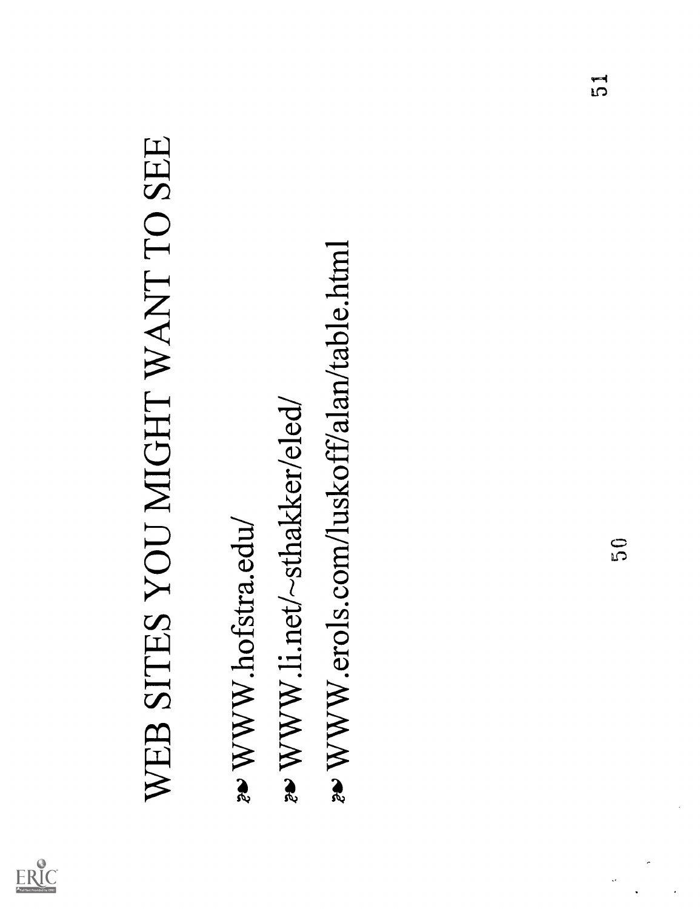

# WEB SITES YOU MIGHT WANT TO SEE<br> **20' WWW.hofstra.edu/**<br>
20' WWW.li.net/~sthakker/eled/<br>
20' WWW.erols.com/luskoff/alan/table.html<br>
20' WWW.erols.com/luskoff/alan/table.html

- 
- 
- 

J.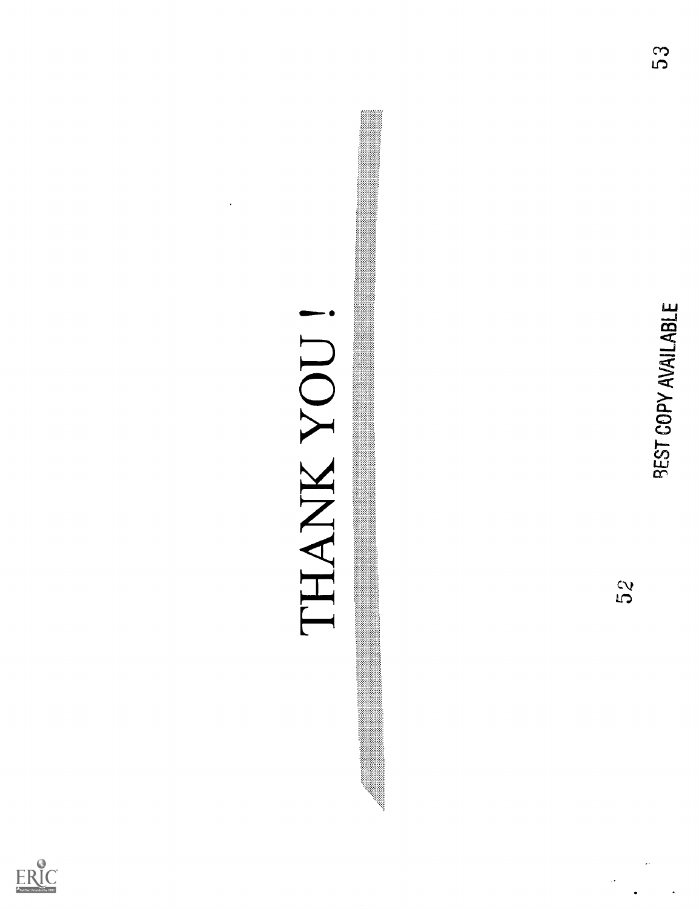

# $\begin{CD} \text{TLANK} \text{ } \text{YOUT} \ \text{s}_2 \ \text{s}_3 \end{CD}$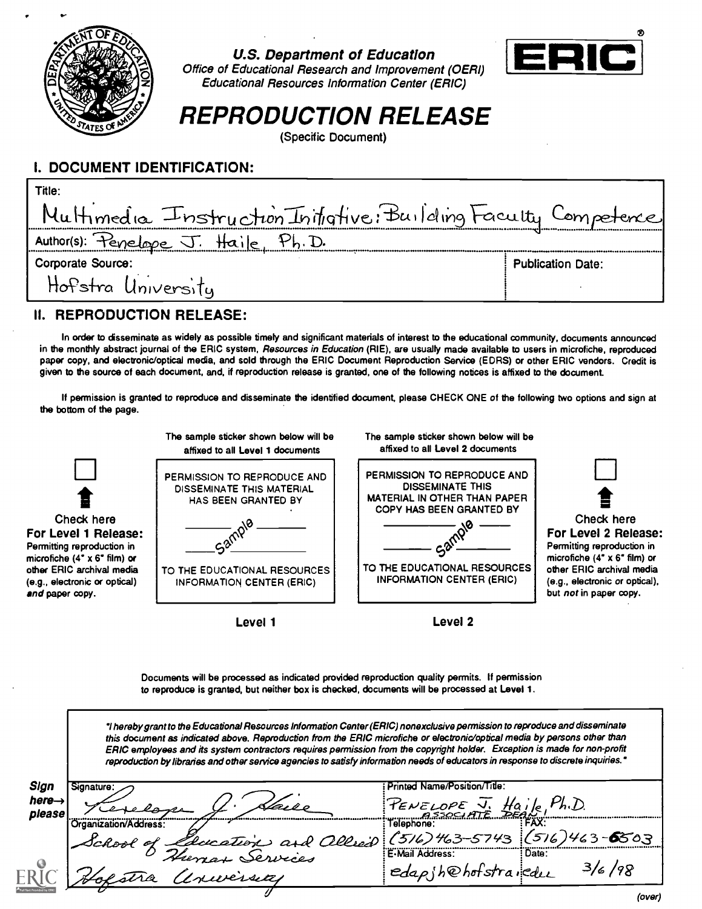

## U.S. Department of Education



Office of Educational Research and Improvement (OERI) [ z Educational Resources Information Center (ERIC)

# REPRODUCTION RELEASE

(Specific Document)

# I. DOCUMENT IDENTIFICATION:

| Title:                                                         |                          |
|----------------------------------------------------------------|--------------------------|
| Multimedia Instruction Initiative: Building Faculty Competence |                          |
| Author(s): Penelope J. Haile, Ph.D.                            |                          |
| Corporate Source:                                              | <b>Publication Date:</b> |
| Hofstra University                                             |                          |

# II. REPRODUCTION RELEASE:

In order to disseminate as widely as possible timely and significant materials of interest to the educational community, documents announced in the monthly abstract journal of the ERIC system, Resources in Education (RIE), are usually made available to users in microfiche, reproduced paper copy, and electronic/optical media, and sold through the ERIC Document Reproduction Service (EDRS) or other ERIC vendors. Credit is given to the source of each document, and, if reproduction release is granted, one of the following notices is affixed to the document.

If permission is granted to reproduce and disseminate the identified document, please CHECK ONE of the following two options and sign at the bottom of the page.



Documents will be processed as indicated provided reproduction quality permits. If permission to reproduce is granted, but neither box is checked, documents will be processed at Level 1.

I hereby grant to the Educational Resources Information Center (ERIC) nonexclusive permission to reproduce and disseminate this document as indicated above. Reproduction from the ERIC microfiche or electronic/optical media by persons other than ERIC employees and its system contractors requires permission from the copyright holder. Exception is made for non-profit reproduction by libraries and other service agencies to satisfy information needs of educators in response to discrete inquiries.'

| Sign                         | Signature:                         | rınted Name/Position/Title:                             |
|------------------------------|------------------------------------|---------------------------------------------------------|
| here $\rightarrow$<br>please |                                    | $\mu_{h.D.}$<br>PENELOPE J. Haile!                      |
|                              | Organization/Address:<br>School of | i elephone.                                             |
|                              |                                    | Lecation and allei (516) 463-5743 (516) 463-6503<br>19S |
|                              | 'uversite                          | edapih@hofstraiedu<br>16 <sup>1</sup><br>------         |